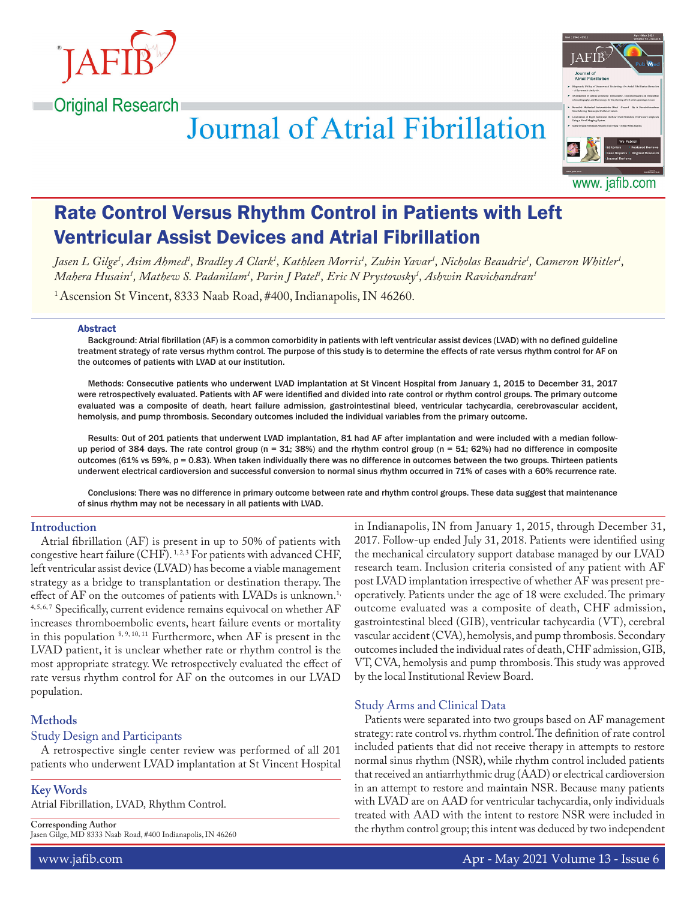



# **Journal of Atrial Fibrillation**

Rate Control Versus Rhythm Control in Patients with Left Ventricular Assist Devices and Atrial Fibrillation

Jasen L Gilge<sup>1</sup>, Asim Ahmed<sup>1</sup>, Bradley A Clark<sup>1</sup>, Kathleen Morris<sup>1</sup>, Zubin Yavar<sup>1</sup>, Nicholas Beaudrie<sup>1</sup>, Cameron Whitler<sup>1</sup>, *Mahera Husain1 , Mathew S. Padanilam1 , Parin J Patel1 , Eric N Prystowsky1 , Ashwin Ravichandran1*

<sup>1</sup> Ascension St Vincent, 8333 Naab Road, #400, Indianapolis, IN 46260.

#### Abstract

Background: Atrial fibrillation (AF) is a common comorbidity in patients with left ventricular assist devices (LVAD) with no defined guideline treatment strategy of rate versus rhythm control. The purpose of this study is to determine the effects of rate versus rhythm control for AF on the outcomes of patients with LVAD at our institution.

Methods: Consecutive patients who underwent LVAD implantation at St Vincent Hospital from January 1, 2015 to December 31, 2017 were retrospectively evaluated. Patients with AF were identified and divided into rate control or rhythm control groups. The primary outcome evaluated was a composite of death, heart failure admission, gastrointestinal bleed, ventricular tachycardia, cerebrovascular accident, hemolysis, and pump thrombosis. Secondary outcomes included the individual variables from the primary outcome.

Results: Out of 201 patients that underwent LVAD implantation, 81 had AF after implantation and were included with a median followup period of 384 days. The rate control group (n = 31; 38%) and the rhythm control group (n = 51; 62%) had no difference in composite outcomes (61% vs 59%, p = 0.83). When taken individually there was no difference in outcomes between the two groups. Thirteen patients underwent electrical cardioversion and successful conversion to normal sinus rhythm occurred in 71% of cases with a 60% recurrence rate.

Conclusions: There was no difference in primary outcome between rate and rhythm control groups. These data suggest that maintenance of sinus rhythm may not be necessary in all patients with LVAD.

## **Introduction**

Atrial fibrillation (AF) is present in up to 50% of patients with congestive heart failure (CHF).  $1, 2, 3$  For patients with advanced CHF, left ventricular assist device (LVAD) has become a viable management strategy as a bridge to transplantation or destination therapy. The effect of AF on the outcomes of patients with LVADs is unknown.<sup>1,</sup> 4,5,6,7 Specifically, current evidence remains equivocal on whether AF increases thromboembolic events, heart failure events or mortality in this population  $8,9,10,11$  Furthermore, when AF is present in the LVAD patient, it is unclear whether rate or rhythm control is the most appropriate strategy. We retrospectively evaluated the effect of rate versus rhythm control for AF on the outcomes in our LVAD population.

#### **Methods**

## Study Design and Participants

A retrospective single center review was performed of all 201 patients who underwent LVAD implantation at St Vincent Hospital

#### **Key Words**

Atrial Fibrillation, LVAD, Rhythm Control.

**Corresponding Author**

Jasen Gilge, MD 8333 Naab Road, #400 Indianapolis, IN 46260

in Indianapolis, IN from January 1, 2015, through December 31, 2017. Follow-up ended July 31, 2018. Patients were identified using the mechanical circulatory support database managed by our LVAD research team. Inclusion criteria consisted of any patient with AF post LVAD implantation irrespective of whether AF was present preoperatively. Patients under the age of 18 were excluded. The primary outcome evaluated was a composite of death, CHF admission, gastrointestinal bleed (GIB), ventricular tachycardia (VT), cerebral vascular accident (CVA), hemolysis, and pump thrombosis. Secondary outcomes included the individual rates of death, CHF admission, GIB, VT, CVA, hemolysis and pump thrombosis. This study was approved by the local Institutional Review Board.

## Study Arms and Clinical Data

Patients were separated into two groups based on AF management strategy: rate control vs. rhythm control. The definition of rate control included patients that did not receive therapy in attempts to restore normal sinus rhythm (NSR), while rhythm control included patients that received an antiarrhythmic drug (AAD) or electrical cardioversion in an attempt to restore and maintain NSR. Because many patients with LVAD are on AAD for ventricular tachycardia, only individuals treated with AAD with the intent to restore NSR were included in the rhythm control group; this intent was deduced by two independent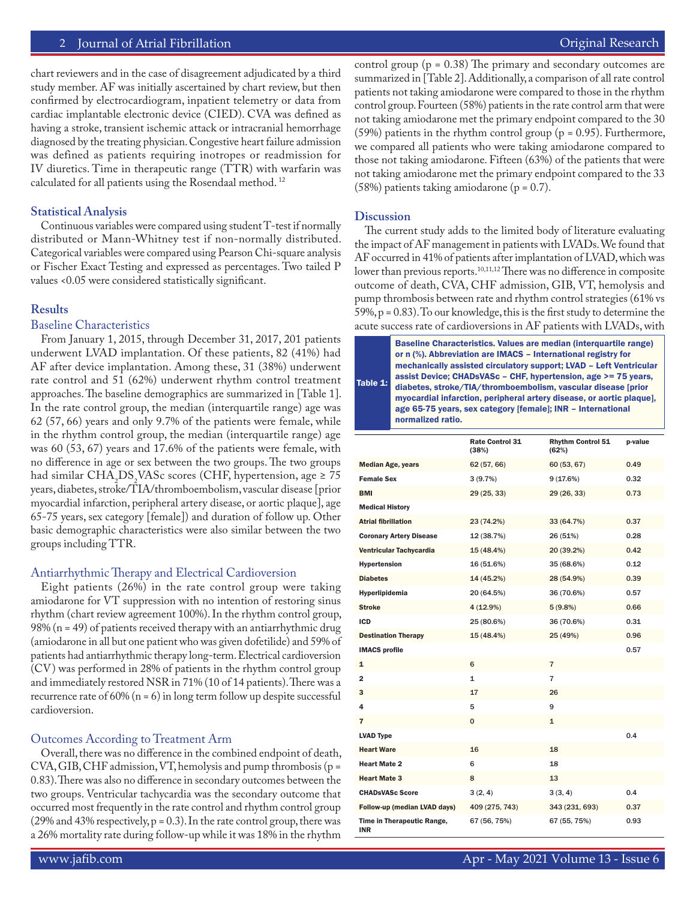# 2 Journal of Atrial Fibrillation **Community** Community Community Community Community Community Community Community

chart reviewers and in the case of disagreement adjudicated by a third study member. AF was initially ascertained by chart review, but then confirmed by electrocardiogram, inpatient telemetry or data from cardiac implantable electronic device (CIED). CVA was defined as having a stroke, transient ischemic attack or intracranial hemorrhage diagnosed by the treating physician. Congestive heart failure admission was defined as patients requiring inotropes or readmission for IV diuretics. Time in therapeutic range (TTR) with warfarin was calculated for all patients using the Rosendaal method. 12

# **Statistical Analysis**

Continuous variables were compared using student T-test if normally distributed or Mann-Whitney test if non-normally distributed. Categorical variables were compared using Pearson Chi-square analysis or Fischer Exact Testing and expressed as percentages. Two tailed P values <0.05 were considered statistically significant.

# **Results**

# Baseline Characteristics

From January 1, 2015, through December 31, 2017, 201 patients underwent LVAD implantation. Of these patients, 82 (41%) had AF after device implantation. Among these, 31 (38%) underwent rate control and 51 (62%) underwent rhythm control treatment approaches. The baseline demographics are summarized in [Table 1]. In the rate control group, the median (interquartile range) age was 62 (57, 66) years and only 9.7% of the patients were female, while in the rhythm control group, the median (interquartile range) age was 60 (53, 67) years and 17.6% of the patients were female, with no difference in age or sex between the two groups. The two groups had similar CHA<sub>2</sub>DS<sub>2</sub>VASc scores (CHF, hypertension, age  $\geq 75$ ) years, diabetes, stroke/TIA/thromboembolism, vascular disease [prior myocardial infarction, peripheral artery disease, or aortic plaque], age 65-75 years, sex category [female]) and duration of follow up. Other basic demographic characteristics were also similar between the two groups including TTR.

# Antiarrhythmic Therapy and Electrical Cardioversion

Eight patients (26%) in the rate control group were taking amiodarone for VT suppression with no intention of restoring sinus rhythm (chart review agreement 100%). In the rhythm control group, 98% ( $n = 49$ ) of patients received therapy with an antiarrhythmic drug (amiodarone in all but one patient who was given dofetilide) and 59% of patients had antiarrhythmic therapy long-term. Electrical cardioversion (CV) was performed in 28% of patients in the rhythm control group and immediately restored NSR in 71% (10 of 14 patients). There was a recurrence rate of  $60\%$  (n = 6) in long term follow up despite successful cardioversion.

# Outcomes According to Treatment Arm

Overall, there was no difference in the combined endpoint of death, CVA, GIB, CHF admission, VT, hemolysis and pump thrombosis (p = 0.83). There was also no difference in secondary outcomes between the two groups. Ventricular tachycardia was the secondary outcome that occurred most frequently in the rate control and rhythm control group  $(29%$  and 43% respectively, p = 0.3). In the rate control group, there was a 26% mortality rate during follow-up while it was 18% in the rhythm

control group ( $p = 0.38$ ) The primary and secondary outcomes are summarized in [Table 2]. Additionally, a comparison of all rate control patients not taking amiodarone were compared to those in the rhythm control group. Fourteen (58%) patients in the rate control arm that were not taking amiodarone met the primary endpoint compared to the 30 (59%) patients in the rhythm control group ( $p = 0.95$ ). Furthermore, we compared all patients who were taking amiodarone compared to those not taking amiodarone. Fifteen (63%) of the patients that were not taking amiodarone met the primary endpoint compared to the 33 (58%) patients taking amiodarone ( $p = 0.7$ ).

# **Discussion**

The current study adds to the limited body of literature evaluating the impact of AF management in patients with LVADs. We found that AF occurred in 41% of patients after implantation of LVAD, which was lower than previous reports.<sup>10,11,12</sup> There was no difference in composite outcome of death, CVA, CHF admission, GIB, VT, hemolysis and pump thrombosis between rate and rhythm control strategies (61% vs 59%, p = 0.83). To our knowledge, this is the first study to determine the acute success rate of cardioversions in AF patients with LVADs, with



|                                          | <b>Rate Control 31</b><br>(38%) | <b>Rhythm Control 51</b><br>(62%) | p-value |
|------------------------------------------|---------------------------------|-----------------------------------|---------|
| <b>Median Age, years</b>                 | 62 (57, 66)                     | 60 (53, 67)                       | 0.49    |
| <b>Female Sex</b>                        | 3(9.7%)                         | 9(17.6%)                          | 0.32    |
| <b>BMI</b>                               | 29 (25, 33)                     | 29 (26, 33)                       | 0.73    |
| <b>Medical History</b>                   |                                 |                                   |         |
| <b>Atrial fibrillation</b>               | 23 (74.2%)                      | 33 (64.7%)                        | 0.37    |
| <b>Coronary Artery Disease</b>           | 12 (38.7%)                      | 26 (51%)                          | 0.28    |
| Ventricular Tachycardia                  | 15 (48.4%)                      | 20 (39.2%)                        | 0.42    |
| <b>Hypertension</b>                      | 16 (51.6%)                      | 35 (68.6%)                        | 0.12    |
| <b>Diabetes</b>                          | 14 (45.2%)                      | 28 (54.9%)                        | 0.39    |
| Hyperlipidemia                           | 20 (64.5%)                      | 36 (70.6%)                        | 0.57    |
| <b>Stroke</b>                            | 4(12.9%)                        | 5(9.8%)                           | 0.66    |
| ICD                                      | 25 (80.6%)                      | 36 (70.6%)                        | 0.31    |
| <b>Destination Therapy</b>               | 15 (48.4%)                      | 25 (49%)                          | 0.96    |
| <b>IMACS profile</b>                     |                                 |                                   | 0.57    |
| 1                                        | 6                               | $\overline{7}$                    |         |
| $\overline{2}$                           | 1                               | 7                                 |         |
| 3                                        | 17                              | 26                                |         |
| 4                                        | 5                               | 9                                 |         |
| 7                                        | 0                               | 1                                 |         |
| <b>LVAD Type</b>                         |                                 |                                   | 0.4     |
| <b>Heart Ware</b>                        | 16                              | 18                                |         |
| <b>Heart Mate 2</b>                      | 6                               | 18                                |         |
| <b>Heart Mate 3</b>                      | 8                               | 13                                |         |
| <b>CHADsVASc Score</b>                   | 3(2, 4)                         | 3(3, 4)                           | 0.4     |
| Follow-up (median LVAD days)             | 409 (275, 743)                  | 343 (231, 693)                    | 0.37    |
| Time in Therapeutic Range,<br><b>INR</b> | 67 (56, 75%)                    | 67 (55, 75%)                      | 0.93    |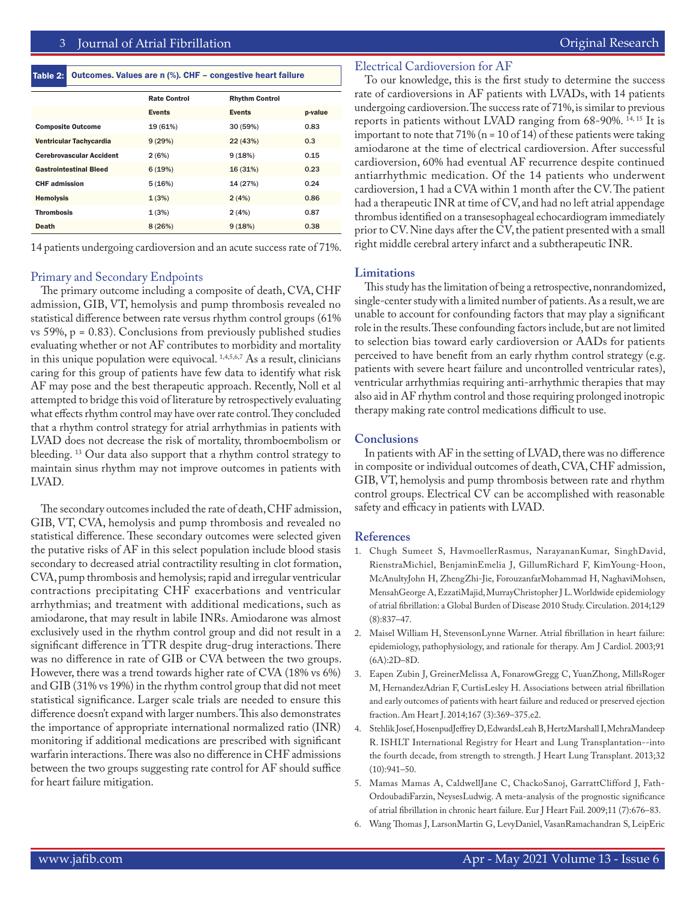#### Table 2: Outcomes. Values are n (%). CHF – congestive heart failure

|                                 | <b>Rate Control</b> | <b>Rhythm Control</b> |         |
|---------------------------------|---------------------|-----------------------|---------|
|                                 | <b>Events</b>       | <b>Events</b>         | p-value |
| <b>Composite Outcome</b>        | 19 (61%)            | 30 (59%)              | 0.83    |
| Ventricular Tachycardia         | 9(29%)              | 22(43%)               | 0.3     |
| <b>Cerebrovascular Accident</b> | 2(6%)               | 9(18%)                | 0.15    |
| <b>Gastrointestinal Bleed</b>   | 6(19%)              | 16(31%)               | 0.23    |
| <b>CHF</b> admission            | 5(16%)              | 14 (27%)              | 0.24    |
| <b>Hemolysis</b>                | 1(3%)               | 2(4%)                 | 0.86    |
| <b>Thrombosis</b>               | 1(3%)               | 2(4%)                 | 0.87    |
| <b>Death</b>                    | 8(26%)              | 9(18%)                | 0.38    |

14 patients undergoing cardioversion and an acute success rate of 71%.

#### Primary and Secondary Endpoints

The primary outcome including a composite of death, CVA, CHF admission, GIB, VT, hemolysis and pump thrombosis revealed no statistical difference between rate versus rhythm control groups (61% vs 59%,  $p = 0.83$ ). Conclusions from previously published studies evaluating whether or not AF contributes to morbidity and mortality in this unique population were equivocal. <sup>1,4,5,6,7</sup> As a result, clinicians caring for this group of patients have few data to identify what risk AF may pose and the best therapeutic approach. Recently, Noll et al attempted to bridge this void of literature by retrospectively evaluating what effects rhythm control may have over rate control. They concluded that a rhythm control strategy for atrial arrhythmias in patients with LVAD does not decrease the risk of mortality, thromboembolism or bleeding. 13 Our data also support that a rhythm control strategy to maintain sinus rhythm may not improve outcomes in patients with LVAD.

The secondary outcomes included the rate of death, CHF admission, GIB, VT, CVA, hemolysis and pump thrombosis and revealed no statistical difference. These secondary outcomes were selected given the putative risks of AF in this select population include blood stasis secondary to decreased atrial contractility resulting in clot formation, CVA, pump thrombosis and hemolysis; rapid and irregular ventricular contractions precipitating CHF exacerbations and ventricular arrhythmias; and treatment with additional medications, such as amiodarone, that may result in labile INRs. Amiodarone was almost exclusively used in the rhythm control group and did not result in a significant difference in TTR despite drug-drug interactions. There was no difference in rate of GIB or CVA between the two groups. However, there was a trend towards higher rate of CVA (18% vs 6%) and GIB (31% vs 19%) in the rhythm control group that did not meet statistical significance. Larger scale trials are needed to ensure this difference doesn't expand with larger numbers. This also demonstrates the importance of appropriate international normalized ratio (INR) monitoring if additional medications are prescribed with significant warfarin interactions. There was also no difference in CHF admissions between the two groups suggesting rate control for AF should suffice for heart failure mitigation.

## Electrical Cardioversion for AF

To our knowledge, this is the first study to determine the success rate of cardioversions in AF patients with LVADs, with 14 patients undergoing cardioversion. The success rate of 71%, is similar to previous reports in patients without LVAD ranging from 68-90%. 14, 15 It is important to note that  $71\%$  (n = 10 of 14) of these patients were taking amiodarone at the time of electrical cardioversion. After successful cardioversion, 60% had eventual AF recurrence despite continued antiarrhythmic medication. Of the 14 patients who underwent cardioversion, 1 had a CVA within 1 month after the CV. The patient had a therapeutic INR at time of CV, and had no left atrial appendage thrombus identified on a transesophageal echocardiogram immediately prior to CV. Nine days after the CV, the patient presented with a small right middle cerebral artery infarct and a subtherapeutic INR.

#### **Limitations**

This study has the limitation of being a retrospective, nonrandomized, single-center study with a limited number of patients. As a result, we are unable to account for confounding factors that may play a significant role in the results. These confounding factors include, but are not limited to selection bias toward early cardioversion or AADs for patients perceived to have benefit from an early rhythm control strategy (e.g. patients with severe heart failure and uncontrolled ventricular rates), ventricular arrhythmias requiring anti-arrhythmic therapies that may also aid in AF rhythm control and those requiring prolonged inotropic therapy making rate control medications difficult to use.

#### **Conclusions**

In patients with AF in the setting of LVAD, there was no difference in composite or individual outcomes of death, CVA, CHF admission, GIB, VT, hemolysis and pump thrombosis between rate and rhythm control groups. Electrical CV can be accomplished with reasonable safety and efficacy in patients with LVAD.

#### **References**

- 1. Chugh Sumeet S, HavmoellerRasmus, NarayananKumar, SinghDavid, RienstraMichiel, BenjaminEmelia J, GillumRichard F, KimYoung-Hoon, McAnultyJohn H, ZhengZhi-Jie, ForouzanfarMohammad H, NaghaviMohsen, MensahGeorge A, EzzatiMajid, MurrayChristopher J L. Worldwide epidemiology of atrial fibrillation: a Global Burden of Disease 2010 Study. Circulation. 2014;129 (8):837–47.
- 2. Maisel William H, StevensonLynne Warner. Atrial fibrillation in heart failure: epidemiology, pathophysiology, and rationale for therapy. Am J Cardiol. 2003;91 (6A):2D–8D.
- 3. Eapen Zubin J, GreinerMelissa A, FonarowGregg C, YuanZhong, MillsRoger M, HernandezAdrian F, CurtisLesley H. Associations between atrial fibrillation and early outcomes of patients with heart failure and reduced or preserved ejection fraction. Am Heart J. 2014;167 (3):369–375.e2.
- 4. Stehlik Josef, HosenpudJeffrey D, EdwardsLeah B, HertzMarshall I, MehraMandeep R. ISHLT International Registry for Heart and Lung Transplantation--into the fourth decade, from strength to strength. J Heart Lung Transplant. 2013;32 (10):941–50.
- 5. Mamas Mamas A, CaldwellJane C, ChackoSanoj, GarrattClifford J, Fath-OrdoubadiFarzin, NeysesLudwig. A meta-analysis of the prognostic significance of atrial fibrillation in chronic heart failure. Eur J Heart Fail. 2009;11 (7):676–83.
- 6. Wang Thomas J, LarsonMartin G, LevyDaniel, VasanRamachandran S, LeipEric